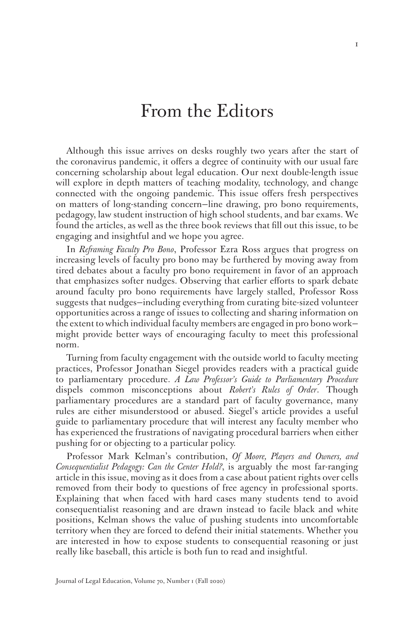## From the Editors

Although this issue arrives on desks roughly two years after the start of the coronavirus pandemic, it offers a degree of continuity with our usual fare concerning scholarship about legal education. Our next double-length issue will explore in depth matters of teaching modality, technology, and change connected with the ongoing pandemic. This issue offers fresh perspectives on matters of long-standing concern—line drawing, pro bono requirements, pedagogy, law student instruction of high school students, and bar exams. We found the articles, as well as the three book reviews that fill out this issue, to be engaging and insightful and we hope you agree.

In *Reframing Faculty Pro Bono*, Professor Ezra Ross argues that progress on increasing levels of faculty pro bono may be furthered by moving away from tired debates about a faculty pro bono requirement in favor of an approach that emphasizes softer nudges. Observing that earlier efforts to spark debate around faculty pro bono requirements have largely stalled, Professor Ross suggests that nudges—including everything from curating bite-sized volunteer opportunities across a range of issues to collecting and sharing information on the extent to which individual faculty members are engaged in pro bono work might provide better ways of encouraging faculty to meet this professional norm.

Turning from faculty engagement with the outside world to faculty meeting practices, Professor Jonathan Siegel provides readers with a practical guide to parliamentary procedure. *A Law Professor's Guide to Parliamentary Procedure*  dispels common misconceptions about *Robert's Rules of Order*. Though parliamentary procedures are a standard part of faculty governance, many rules are either misunderstood or abused. Siegel's article provides a useful guide to parliamentary procedure that will interest any faculty member who has experienced the frustrations of navigating procedural barriers when either pushing for or objecting to a particular policy.

Professor Mark Kelman's contribution, *Of Moore, Players and Owners, and Consequentialist Pedagogy: Can the Center Hold?*, is arguably the most far-ranging article in this issue, moving as it does from a case about patient rights over cells removed from their body to questions of free agency in professional sports. Explaining that when faced with hard cases many students tend to avoid consequentialist reasoning and are drawn instead to facile black and white positions, Kelman shows the value of pushing students into uncomfortable territory when they are forced to defend their initial statements. Whether you are interested in how to expose students to consequential reasoning or just really like baseball, this article is both fun to read and insightful.